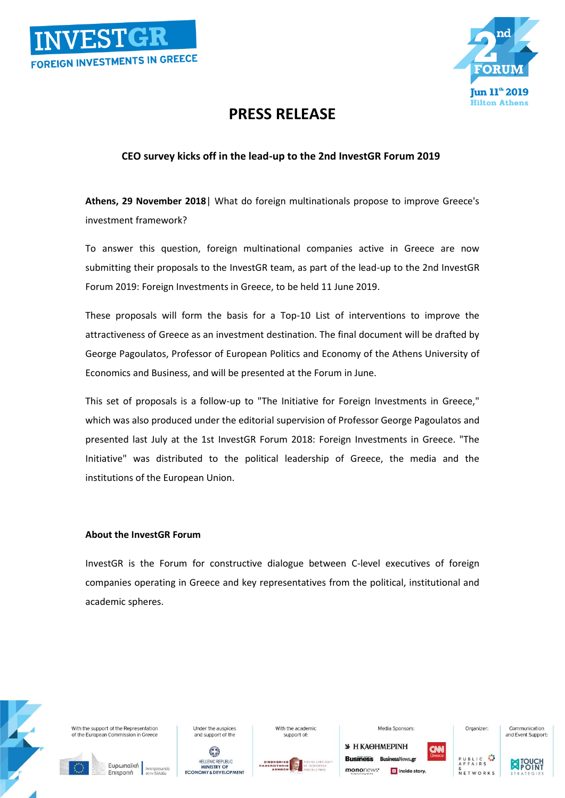



## **PRESS RELEASE**

## **CEO survey kicks off in the lead-up to the 2nd InvestGR Forum 2019**

**Athens, 29 November 2018**| What do foreign multinationals propose to improve Greece's investment framework?

To answer this question, foreign multinational companies active in Greece are now submitting their proposals to the InvestGR team, as part of the lead-up to the 2nd InvestGR Forum 2019: Foreign Investments in Greece, to be held 11 June 2019.

These proposals will form the basis for a Top-10 List of interventions to improve the attractiveness of Greece as an investment destination. The final document will be drafted by George Pagoulatos, Professor of European Politics and Economy of the Athens University of Economics and Business, and will be presented at the Forum in June.

This set of proposals is a follow-up to "The Initiative for Foreign Investments in Greece," which was also produced under the editorial supervision of Professor George Pagoulatos and presented last July at the 1st InvestGR Forum 2018: Foreign Investments in Greece. "The Initiative" was distributed to the political leadership of Greece, the media and the institutions of the European Union.

## **About the InvestGR Forum**

InvestGR is the Forum for constructive dialogue between C-level executives of foreign companies operating in Greece and key representatives from the political, institutional and academic spheres.



With the support of the Representation of the European Commission in Gree

> Ευρωπαϊκή Επιτροπή

 $\odot$ HELLENIC REPUBLIC<br>
MINISTRY OF<br>
ECONOMY & DEVELOPMENT

**Linder the auspices** 

and support of the

With the academic support of



*S* Н КАӨНМЕРІNН

**Rusiness** 

mononews<sup>\*</sup>

Media Sponsors

s inside story



and Event Support

Organizer:



Communication